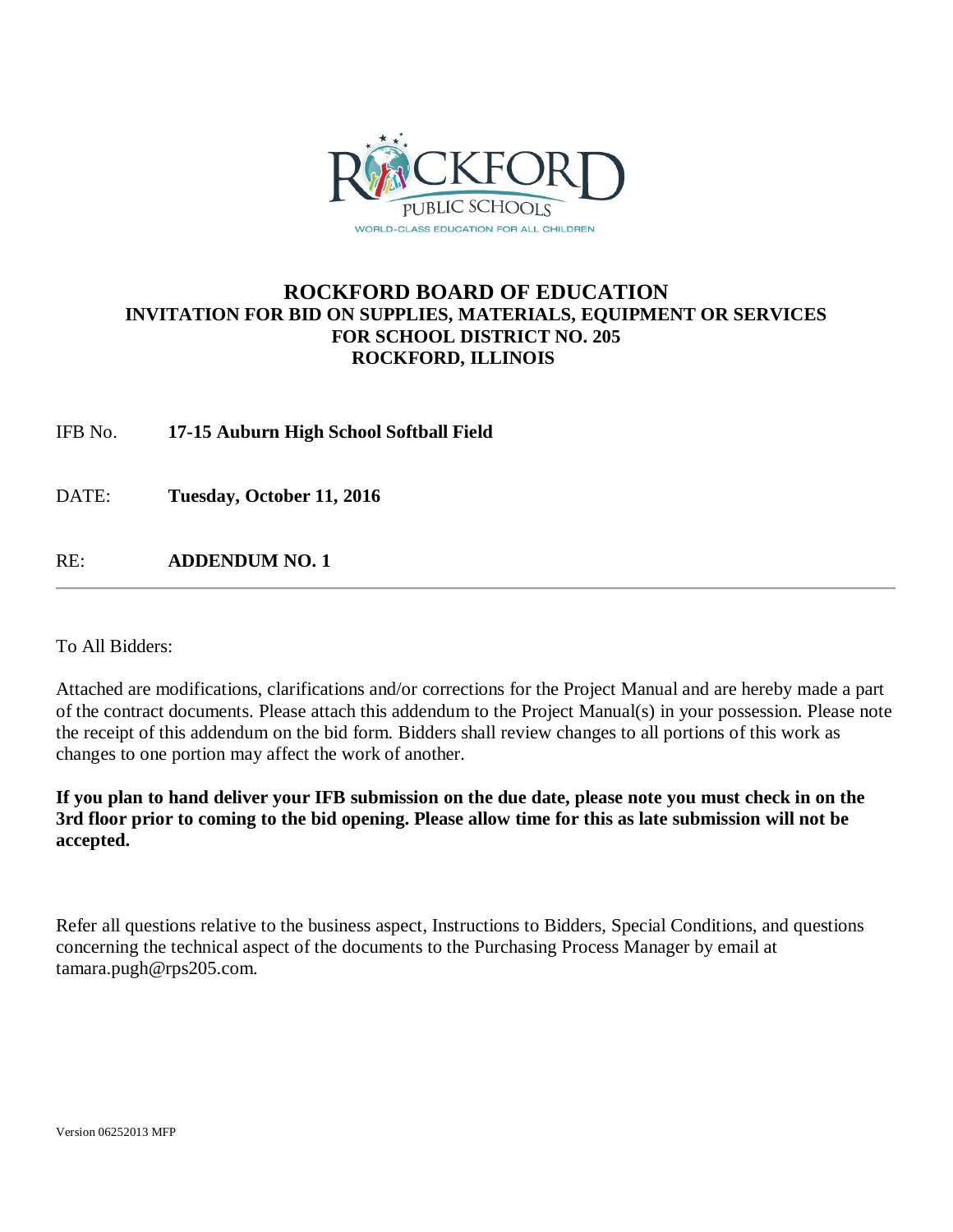

### **ROCKFORD BOARD OF EDUCATION INVITATION FOR BID ON SUPPLIES, MATERIALS, EQUIPMENT OR SERVICES FOR SCHOOL DISTRICT NO. 205 ROCKFORD, ILLINOIS**

IFB No. **17-15 Auburn High School Softball Field**

DATE: **Tuesday, October 11, 2016**

RE: **ADDENDUM NO. 1**

To All Bidders:

Attached are modifications, clarifications and/or corrections for the Project Manual and are hereby made a part of the contract documents. Please attach this addendum to the Project Manual(s) in your possession. Please note the receipt of this addendum on the bid form. Bidders shall review changes to all portions of this work as changes to one portion may affect the work of another.

**If you plan to hand deliver your IFB submission on the due date, please note you must check in on the 3rd floor prior to coming to the bid opening. Please allow time for this as late submission will not be accepted.**

Refer all questions relative to the business aspect, Instructions to Bidders, Special Conditions, and questions concerning the technical aspect of the documents to the Purchasing Process Manager by email at tamara.pugh@rps205.com.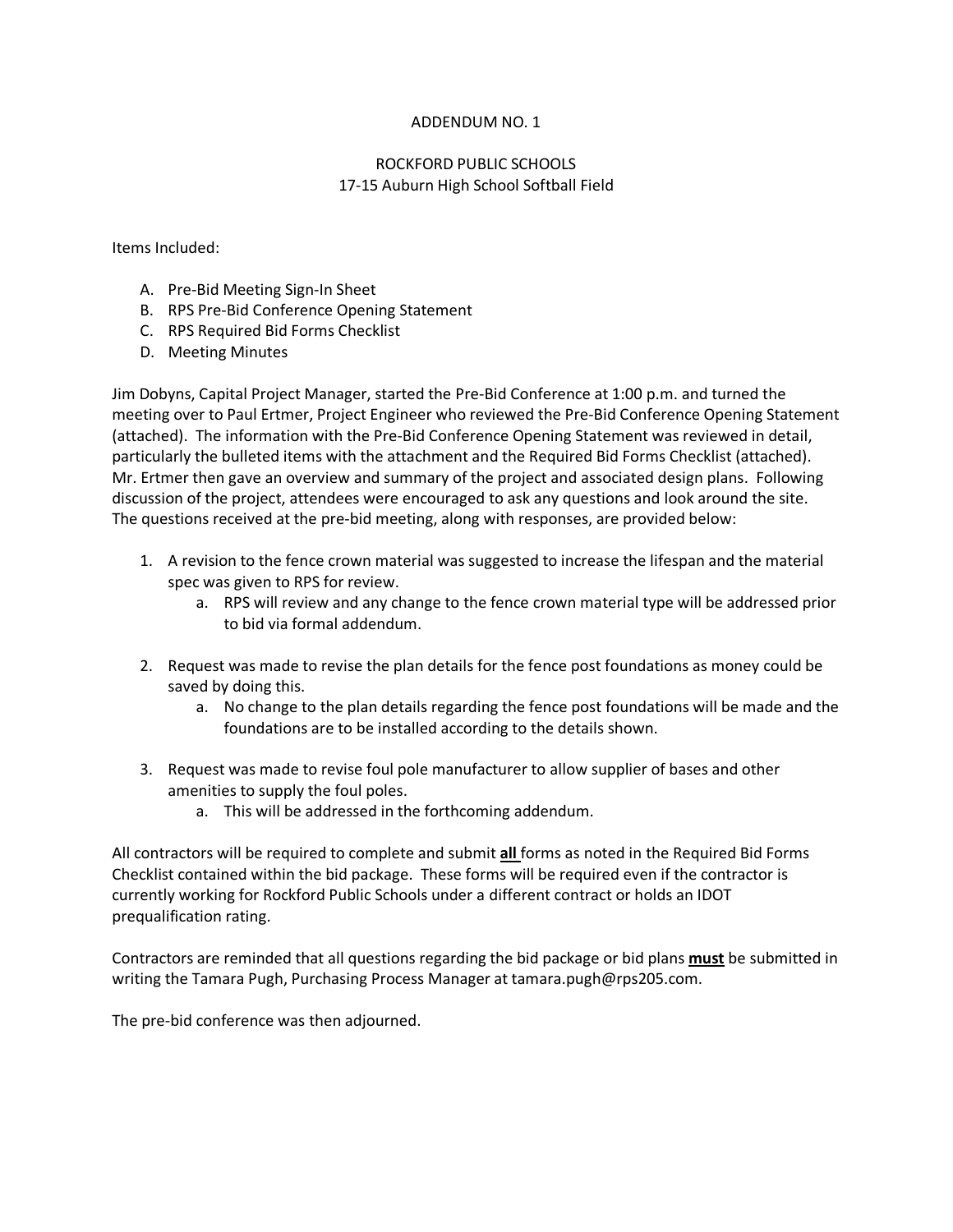### ADDENDUM NO. 1

### ROCKFORD PUBLIC SCHOOLS 17-15 Auburn High School Softball Field

Items Included:

- A. Pre-Bid Meeting Sign-In Sheet
- B. RPS Pre-Bid Conference Opening Statement
- C. RPS Required Bid Forms Checklist
- D. Meeting Minutes

Jim Dobyns, Capital Project Manager, started the Pre-Bid Conference at 1:00 p.m. and turned the meeting over to Paul Ertmer, Project Engineer who reviewed the Pre-Bid Conference Opening Statement (attached). The information with the Pre-Bid Conference Opening Statement was reviewed in detail, particularly the bulleted items with the attachment and the Required Bid Forms Checklist (attached). Mr. Ertmer then gave an overview and summary of the project and associated design plans. Following discussion of the project, attendees were encouraged to ask any questions and look around the site. The questions received at the pre-bid meeting, along with responses, are provided below:

- 1. A revision to the fence crown material was suggested to increase the lifespan and the material spec was given to RPS for review.
	- a. RPS will review and any change to the fence crown material type will be addressed prior to bid via formal addendum.
- 2. Request was made to revise the plan details for the fence post foundations as money could be saved by doing this.
	- a. No change to the plan details regarding the fence post foundations will be made and the foundations are to be installed according to the details shown.
- 3. Request was made to revise foul pole manufacturer to allow supplier of bases and other amenities to supply the foul poles.
	- a. This will be addressed in the forthcoming addendum.

All contractors will be required to complete and submit **all** forms as noted in the Required Bid Forms Checklist contained within the bid package. These forms will be required even if the contractor is currently working for Rockford Public Schools under a different contract or holds an IDOT prequalification rating.

Contractors are reminded that all questions regarding the bid package or bid plans **must** be submitted in writing the Tamara Pugh, Purchasing Process Manager at tamara.pugh@rps205.com.

The pre-bid conference was then adjourned.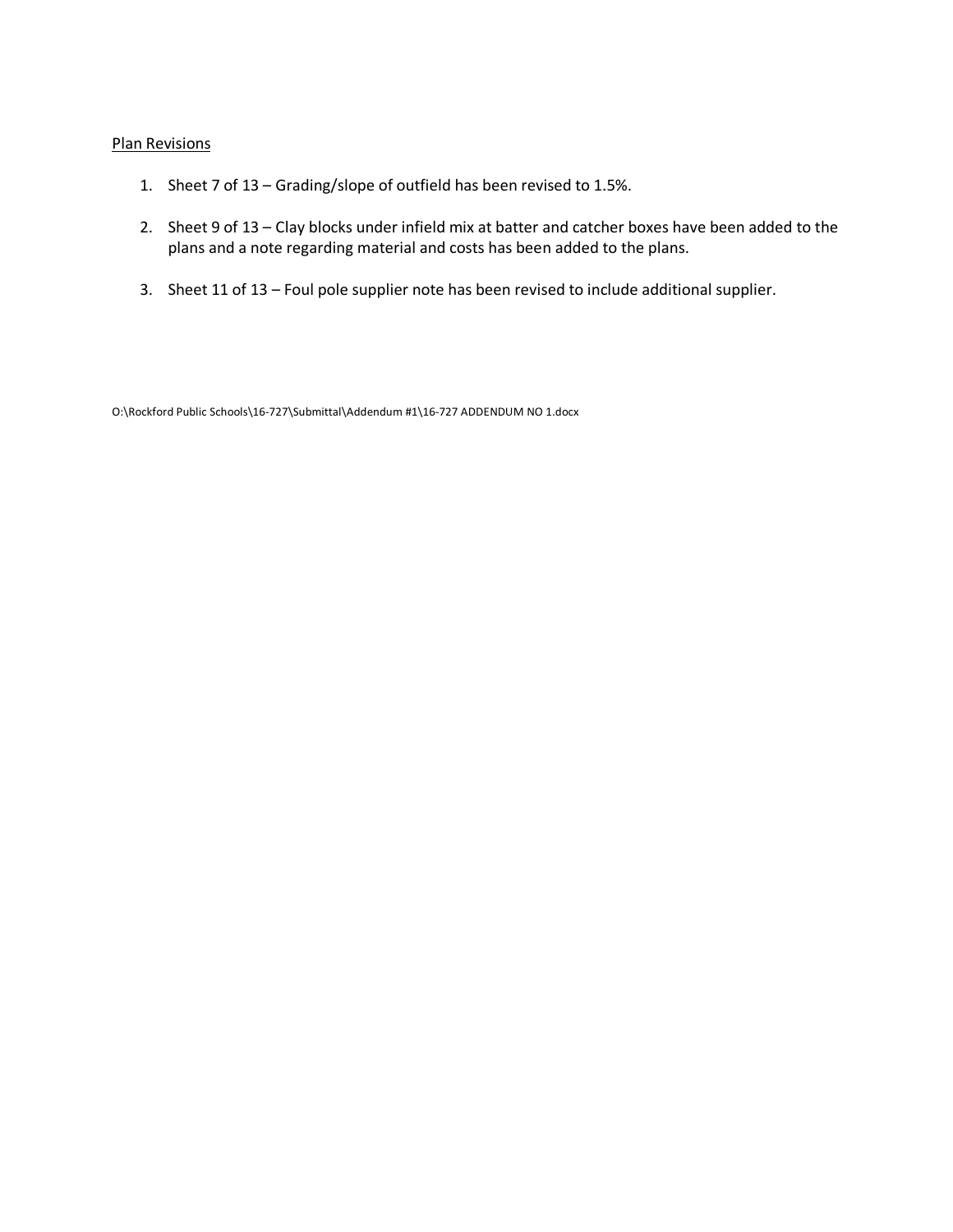### Plan Revisions

- 1. Sheet 7 of 13 Grading/slope of outfield has been revised to 1.5%.
- 2. Sheet 9 of 13 Clay blocks under infield mix at batter and catcher boxes have been added to the plans and a note regarding material and costs has been added to the plans.
- 3. Sheet 11 of 13 Foul pole supplier note has been revised to include additional supplier.

O:\Rockford Public Schools\16-727\Submittal\Addendum #1\16-727 ADDENDUM NO 1.docx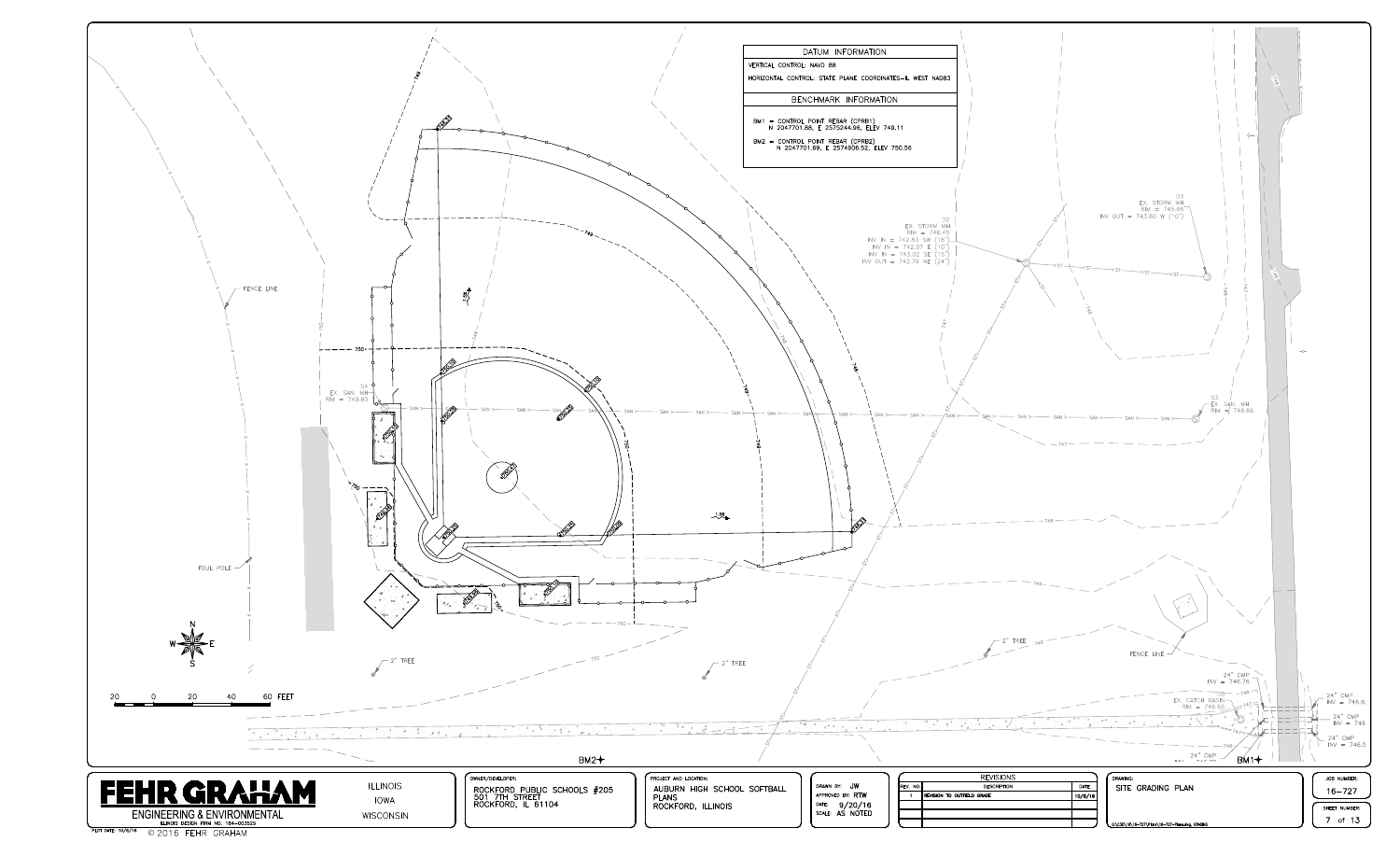

|                                                                                          |                                                                                                                                                                                                                                                                                                                                                                                                                                                                                                                   | DATUM INFORMATION<br>VERTICAL CONTROL: NAVD 88<br>HORIZONTAL CONTROL: STATE PLANE COORDINATES-IL WEST NAD83                                                                                                                                                                |
|------------------------------------------------------------------------------------------|-------------------------------------------------------------------------------------------------------------------------------------------------------------------------------------------------------------------------------------------------------------------------------------------------------------------------------------------------------------------------------------------------------------------------------------------------------------------------------------------------------------------|----------------------------------------------------------------------------------------------------------------------------------------------------------------------------------------------------------------------------------------------------------------------------|
|                                                                                          |                                                                                                                                                                                                                                                                                                                                                                                                                                                                                                                   | BENCHMARK INFORMATION                                                                                                                                                                                                                                                      |
|                                                                                          |                                                                                                                                                                                                                                                                                                                                                                                                                                                                                                                   | BM1 = CONTROL POINT REBAR (CPRB1)<br>N 2047701.88, E 2575244.96, ELEV 749.11                                                                                                                                                                                               |
|                                                                                          |                                                                                                                                                                                                                                                                                                                                                                                                                                                                                                                   | BM2 = CONTROL POINT REBAR (CPRB2)<br>N 2047701.69, E 2574906.52, ELEV 750.56                                                                                                                                                                                               |
|                                                                                          |                                                                                                                                                                                                                                                                                                                                                                                                                                                                                                                   |                                                                                                                                                                                                                                                                            |
|                                                                                          |                                                                                                                                                                                                                                                                                                                                                                                                                                                                                                                   | D <sub>2</sub><br>EX. STORM MH                                                                                                                                                                                                                                             |
| $\frac{1}{49}$                                                                           |                                                                                                                                                                                                                                                                                                                                                                                                                                                                                                                   | $RIM = 746.45$<br>INV IN = 742.83 SW $(18")$<br>INV IN = 742.97 E $(10")$<br>$INV IN = 743.02 SE (15")$<br>INV OUT = 742.79 NE $(24")$                                                                                                                                     |
|                                                                                          | $\frac{1}{\sqrt{6}}$                                                                                                                                                                                                                                                                                                                                                                                                                                                                                              |                                                                                                                                                                                                                                                                            |
| SAN<br>$\mathrm{SAN} >$<br>SAN >                                                         | SAN ><br>$-$ SAN $\succ$<br>SAN<br>SAN                                                                                                                                                                                                                                                                                                                                                                                                                                                                            | SAN<br>$-SAN >$<br>SAN ><br>SAN ><br>$\sqrt{\text{SAN}}$                                                                                                                                                                                                                   |
| <b>KRI</b><br>$\mathcal{L}$<br>16)<br>16)                                                | $-1.5\%$                                                                                                                                                                                                                                                                                                                                                                                                                                                                                                          |                                                                                                                                                                                                                                                                            |
|                                                                                          |                                                                                                                                                                                                                                                                                                                                                                                                                                                                                                                   |                                                                                                                                                                                                                                                                            |
| $\frac{1}{\sqrt{2}}$                                                                     |                                                                                                                                                                                                                                                                                                                                                                                                                                                                                                                   |                                                                                                                                                                                                                                                                            |
| .750                                                                                     | $2"$ TREE                                                                                                                                                                                                                                                                                                                                                                                                                                                                                                         |                                                                                                                                                                                                                                                                            |
|                                                                                          | $\begin{array}{c} \begin{array}{c} \mathcal{A} \\ \mathcal{A} \end{array} & \begin{array}{c} \mathcal{A} \\ \mathcal{A} \end{array} & \begin{array}{c} \mathcal{A} \\ \mathcal{A} \end{array} & \begin{array}{c} \mathcal{A} \\ \mathcal{A} \end{array} & \begin{array}{c} \mathcal{A} \\ \mathcal{A} \end{array} & \begin{array}{c} \mathcal{A} \\ \mathcal{A} \end{array} & \begin{array}{c} \mathcal{A} \\ \mathcal{A} \end{array} & \begin{array}{c} \mathcal{A} \\ \mathcal{A} \end{array} & \begin{array}{$ | $\begin{array}{ccccccccc}\n\hline\n\end{array}\n\qquad \qquad \begin{array}{ccccccccc}\n & a & & & & a \\  & d & & & & d \\  & & & & & & a \\  & & & & & & a \\  & & & & & & a \\  & & & & & & a \\ \end{array}$<br>$\Phi_{\alpha}(\mathbb{C})$<br>$^4$ $\Delta_7$ $\cdot$ |
| $BM2+$                                                                                   |                                                                                                                                                                                                                                                                                                                                                                                                                                                                                                                   |                                                                                                                                                                                                                                                                            |
| DEVELOPER:<br>:KFORD PUBLIC SCHOOLS <mark>#</mark> 205<br>7TH STREET<br>:KFORD, IL 61104 | PROJECT AND LOCATION:<br>AUBURN HIGH SCHOOL SOFTBALL<br><b>PLANS</b><br>ROCKFORD, ILLINOIS                                                                                                                                                                                                                                                                                                                                                                                                                        | DRAWN BY: JW<br>REV. NO.<br>APPROVED BY: RTW<br><b>REVISION TO OUTFIEL</b><br>$\blacksquare$<br>DATE: 9/20/16<br>SCALE: AS NOTED                                                                                                                                           |

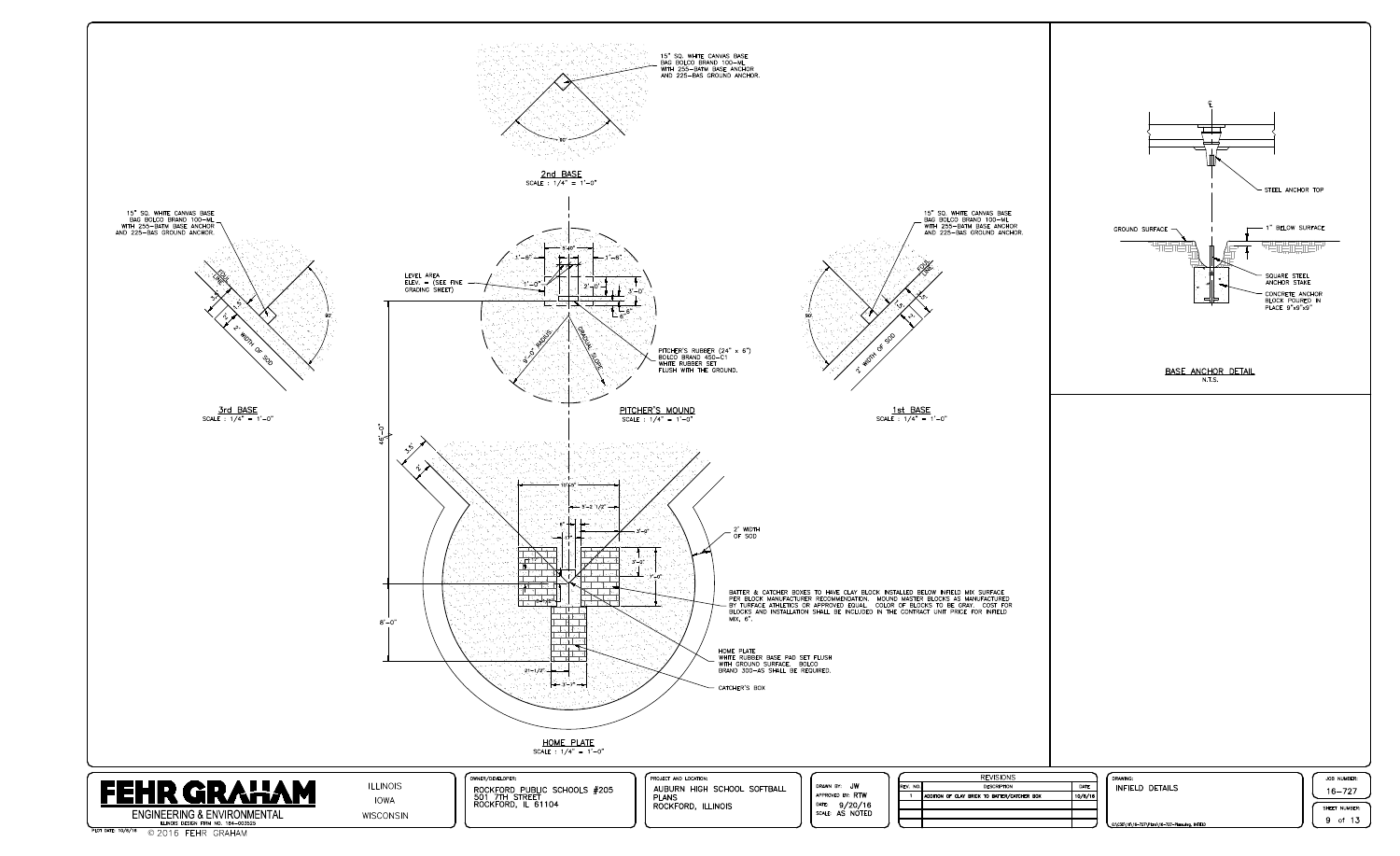

PLOT DATE: 10/6/16 © 2016 FEHR GRAHAM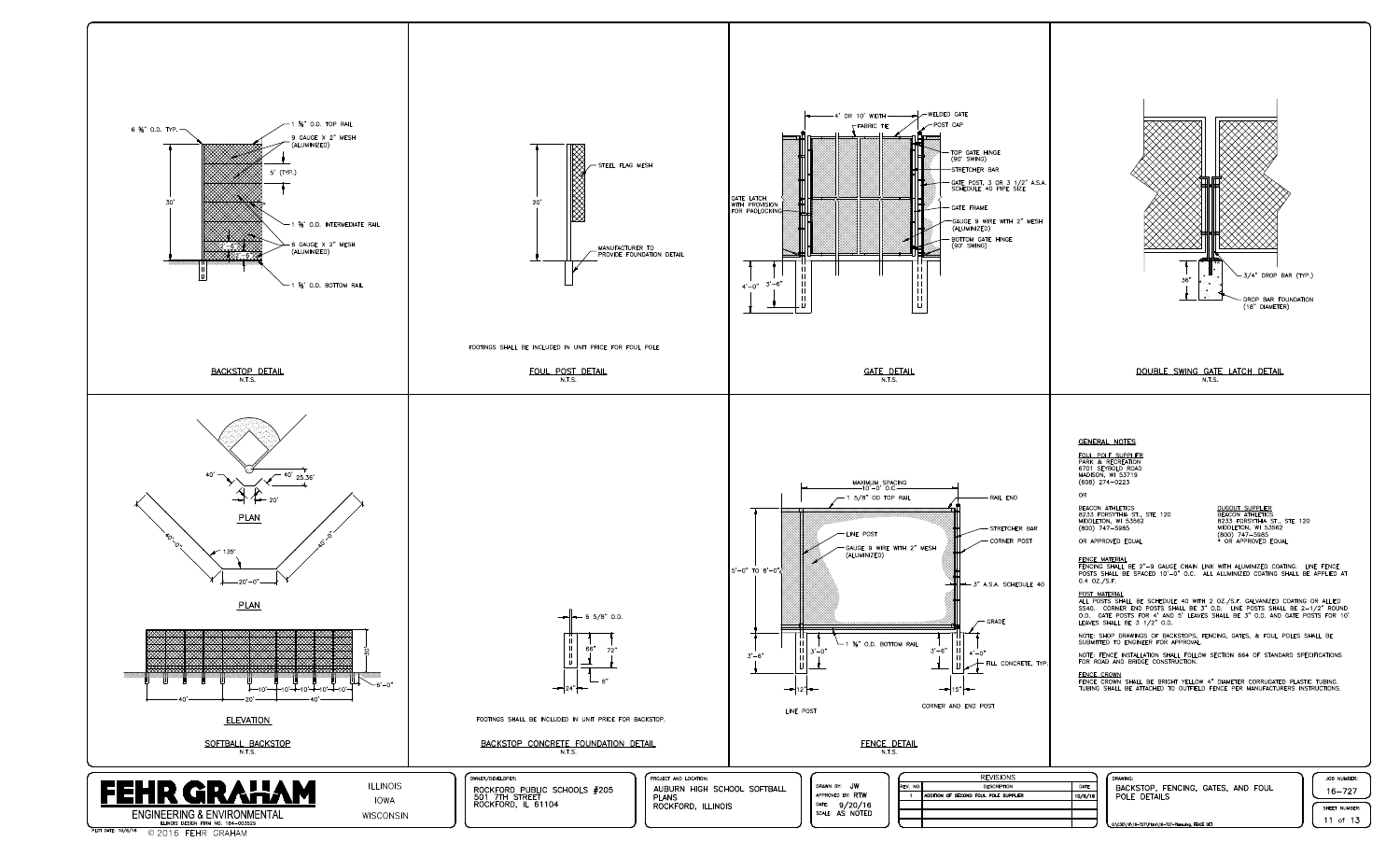

| REV. NO. |                    |
|----------|--------------------|
|          | ADDITION OF SECOND |
|          |                    |
|          |                    |
|          |                    |



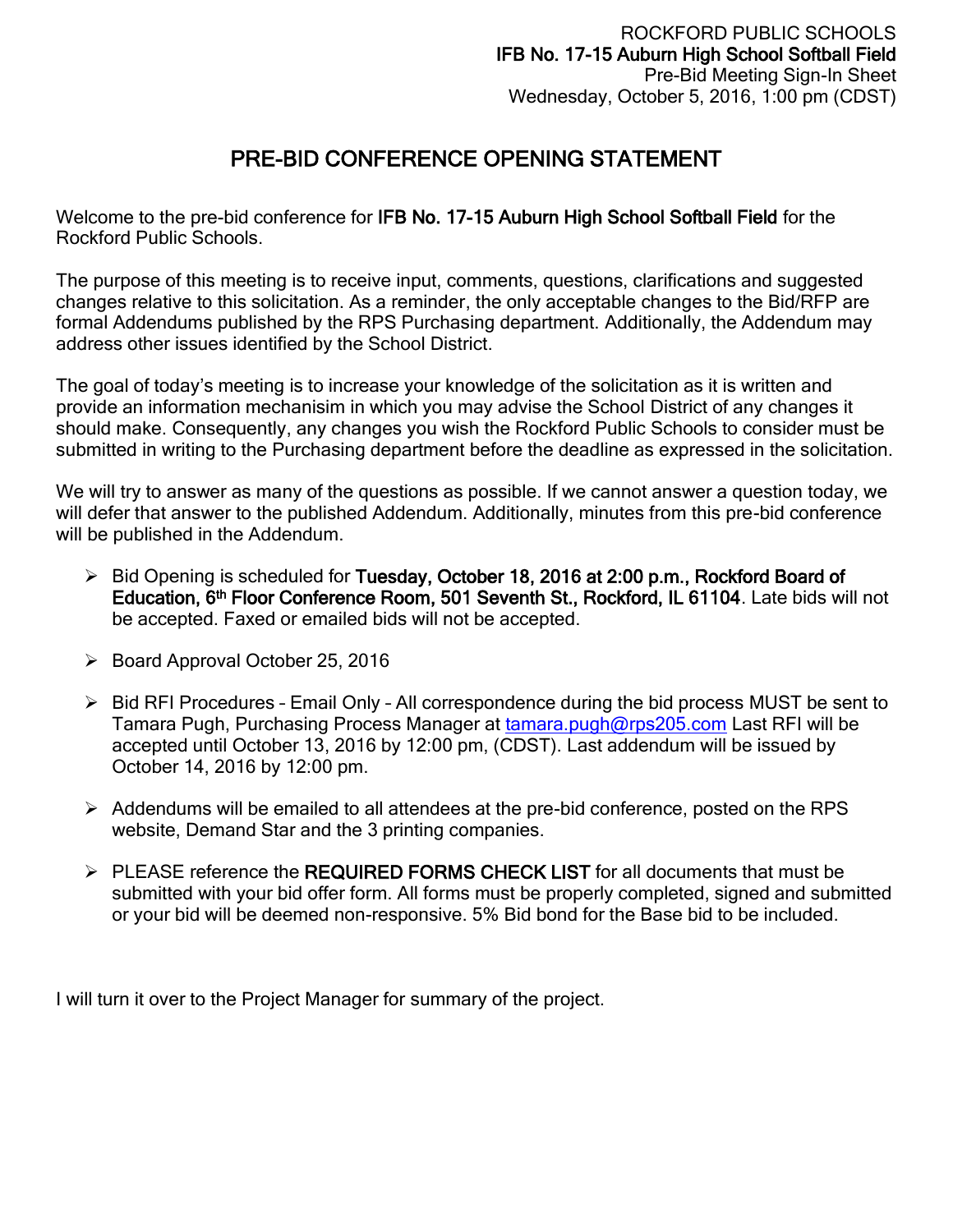## PRE-BID CONFERENCE OPENING STATEMENT

Welcome to the pre-bid conference for IFB No. 17-15 Auburn High School Softball Field for the Rockford Public Schools.

The purpose of this meeting is to receive input, comments, questions, clarifications and suggested changes relative to this solicitation. As a reminder, the only acceptable changes to the Bid/RFP are formal Addendums published by the RPS Purchasing department. Additionally, the Addendum may address other issues identified by the School District.

The goal of today's meeting is to increase your knowledge of the solicitation as it is written and provide an information mechanisim in which you may advise the School District of any changes it should make. Consequently, any changes you wish the Rockford Public Schools to consider must be submitted in writing to the Purchasing department before the deadline as expressed in the solicitation.

We will try to answer as many of the questions as possible. If we cannot answer a question today, we will defer that answer to the published Addendum. Additionally, minutes from this pre-bid conference will be published in the Addendum.

- $\triangleright$  Bid Opening is scheduled for Tuesday, October 18, 2016 at 2:00 p.m., Rockford Board of Education, 6<sup>th</sup> Floor Conference Room, 501 Seventh St., Rockford, IL 61104. Late bids will not be accepted. Faxed or emailed bids will not be accepted.
- $\triangleright$  Board Approval October 25, 2016
- $\triangleright$  Bid RFI Procedures Email Only All correspondence during the bid process MUST be sent to Tamara Pugh, Purchasing Process Manager at [tamara.pugh@rps205.com](mailto:tamara.pugh@rps205.com) Last RFI will be accepted until October 13, 2016 by 12:00 pm, (CDST). Last addendum will be issued by October 14, 2016 by 12:00 pm.
- $\triangleright$  Addendums will be emailed to all attendees at the pre-bid conference, posted on the RPS website, Demand Star and the 3 printing companies.
- > PLEASE reference the REQUIRED FORMS CHECK LIST for all documents that must be submitted with your bid offer form. All forms must be properly completed, signed and submitted or your bid will be deemed non-responsive. 5% Bid bond for the Base bid to be included.

I will turn it over to the Project Manager for summary of the project.